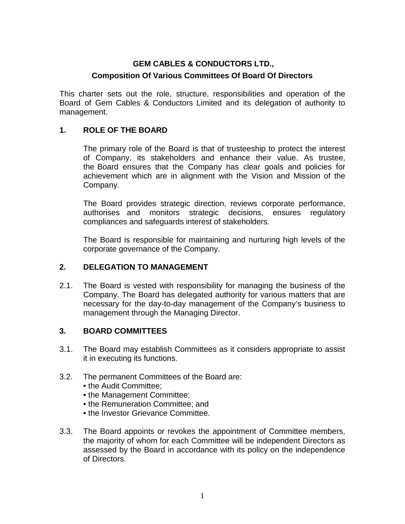## **GEM CABLES & CONDUCTORS LTD.,**

### **Composition Of Various Committees Of Board Of Directors**

This charter sets out the role, structure, responsibilities and operation of the Board of Gem Cables & Conductors Limited and its delegation of authority to management.

### **1. ROLE OF THE BOARD**

The primary role of the Board is that of trusteeship to protect the interest of Company, its stakeholders and enhance their value. As trustee, the Board ensures that the Company has clear goals and policies for achievement which are in alignment with the Vision and Mission of the Company.

The Board provides strategic direction, reviews corporate performance, authorises and monitors strategic decisions, ensures regulatory compliances and safeguards interest of stakeholders.

The Board is responsible for maintaining and nurturing high levels of the corporate governance of the Company.

### **2. DELEGATION TO MANAGEMENT**

2.1. The Board is vested with responsibility for managing the business of the Company. The Board has delegated authority for various matters that are necessary for the day-to-day management of the Company's business to management through the Managing Director.

### **3. BOARD COMMITTEES**

- 3.1. The Board may establish Committees as it considers appropriate to assist it in executing its functions.
- 3.2. The permanent Committees of the Board are:
	- the Audit Committee;
	- the Management Committee;
	- the Remuneration Committee; and
	- the Investor Grievance Committee.
- 3.3. The Board appoints or revokes the appointment of Committee members, the majority of whom for each Committee will be independent Directors as assessed by the Board in accordance with its policy on the independence of Directors.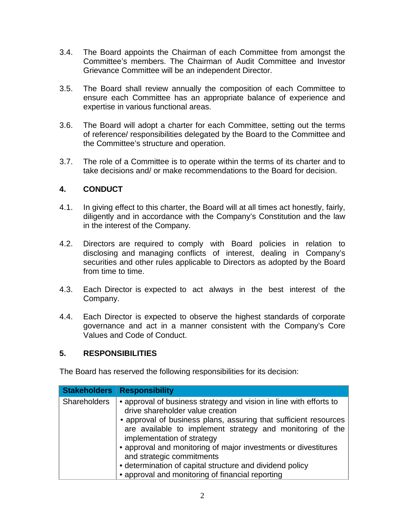- 3.4. The Board appoints the Chairman of each Committee from amongst the Committee's members. The Chairman of Audit Committee and Investor Grievance Committee will be an independent Director.
- 3.5. The Board shall review annually the composition of each Committee to ensure each Committee has an appropriate balance of experience and expertise in various functional areas.
- 3.6. The Board will adopt a charter for each Committee, setting out the terms of reference/ responsibilities delegated by the Board to the Committee and the Committee's structure and operation.
- 3.7. The role of a Committee is to operate within the terms of its charter and to take decisions and/ or make recommendations to the Board for decision.

## **4. CONDUCT**

- 4.1. In giving effect to this charter, the Board will at all times act honestly, fairly, diligently and in accordance with the Company's Constitution and the law in the interest of the Company.
- 4.2. Directors are required to comply with Board policies in relation to disclosing and managing conflicts of interest, dealing in Company's securities and other rules applicable to Directors as adopted by the Board from time to time.
- 4.3. Each Director is expected to act always in the best interest of the Company.
- 4.4. Each Director is expected to observe the highest standards of corporate governance and act in a manner consistent with the Company's Core Values and Code of Conduct.

### **5. RESPONSIBILITIES**

The Board has reserved the following responsibilities for its decision:

| <b>Stakeholders</b> | <b>Responsibility</b>                                                                                                                                                                                                                                                                                                                                                                                                                                                                |
|---------------------|--------------------------------------------------------------------------------------------------------------------------------------------------------------------------------------------------------------------------------------------------------------------------------------------------------------------------------------------------------------------------------------------------------------------------------------------------------------------------------------|
| Shareholders        | • approval of business strategy and vision in line with efforts to<br>drive shareholder value creation<br>• approval of business plans, assuring that sufficient resources<br>are available to implement strategy and monitoring of the<br>implementation of strategy<br>• approval and monitoring of major investments or divestitures<br>and strategic commitments<br>• determination of capital structure and dividend policy<br>• approval and monitoring of financial reporting |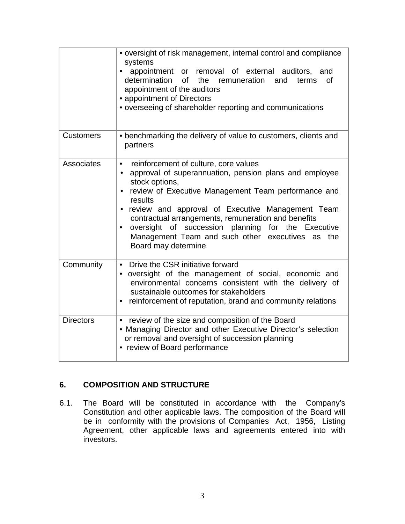|                  | • oversight of risk management, internal control and compliance<br>systems<br>appointment or removal of external auditors, and<br>$\bullet$<br>determination<br>of<br>the remuneration<br>and<br>terms<br>οf<br>appointment of the auditors<br>• appointment of Directors<br>• overseeing of shareholder reporting and communications                                                                                                                                                       |
|------------------|---------------------------------------------------------------------------------------------------------------------------------------------------------------------------------------------------------------------------------------------------------------------------------------------------------------------------------------------------------------------------------------------------------------------------------------------------------------------------------------------|
| <b>Customers</b> | • benchmarking the delivery of value to customers, clients and<br>partners                                                                                                                                                                                                                                                                                                                                                                                                                  |
| Associates       | reinforcement of culture, core values<br>$\bullet$<br>approval of superannuation, pension plans and employee<br>$\bullet$<br>stock options,<br>review of Executive Management Team performance and<br>$\bullet$<br>results<br>• review and approval of Executive Management Team<br>contractual arrangements, remuneration and benefits<br>oversight of succession planning for the Executive<br>$\bullet$<br>Management Team and such other executives<br>as<br>the<br>Board may determine |
| Community        | Drive the CSR initiative forward<br>$\bullet$<br>oversight of the management of social, economic and<br>٠<br>environmental concerns consistent with the delivery of<br>sustainable outcomes for stakeholders<br>reinforcement of reputation, brand and community relations<br>$\bullet$                                                                                                                                                                                                     |
| <b>Directors</b> | review of the size and composition of the Board<br>$\bullet$<br>• Managing Director and other Executive Director's selection<br>or removal and oversight of succession planning<br>• review of Board performance                                                                                                                                                                                                                                                                            |

# **6. COMPOSITION AND STRUCTURE**

6.1. The Board will be constituted in accordance with the Company's Constitution and other applicable laws. The composition of the Board will be in conformity with the provisions of Companies Act, 1956, Listing Agreement, other applicable laws and agreements entered into with investors.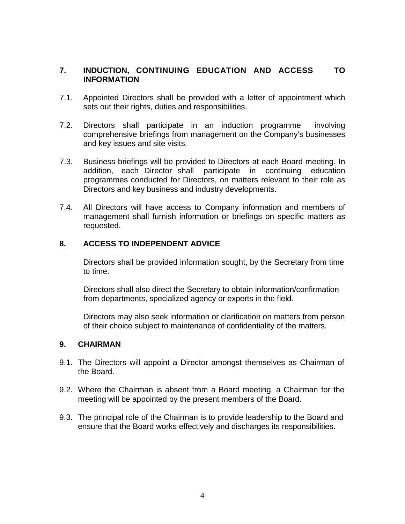## **7. INDUCTION, CONTINUING EDUCATION AND ACCESS TO INFORMATION**

- 7.1. Appointed Directors shall be provided with a letter of appointment which sets out their rights, duties and responsibilities.
- 7.2. Directors shall participate in an induction programme involving comprehensive briefings from management on the Company's businesses and key issues and site visits.
- 7.3. Business briefings will be provided to Directors at each Board meeting. In addition, each Director shall participate in continuing education addition, each Director shall participate in continuing education programmes conducted for Directors, on matters relevant to their role as Directors and key business and industry developments.
- 7.4. All Directors will have access to Company information and members of management shall furnish information or briefings on specific matters as requested.

## **8. ACCESS TO INDEPENDENT ADVICE**

Directors shall be provided information sought, by the Secretary from time to time.

Directors shall also direct the Secretary to obtain information/confirmation from departments, specialized agency or experts in the field.

Directors may also seek information or clarification on matters from person of their choice subject to maintenance of confidentiality of the matters.

### **9. CHAIRMAN**

- 9.1. The Directors will appoint a Director amongst themselves as Chairman of the Board.
- 9.2. Where the Chairman is absent from a Board meeting, a Chairman for the meeting will be appointed by the present members of the Board.
- 9.3. The principal role of the Chairman is to provide leadership to the Board and ensure that the Board works effectively and discharges its responsibilities.